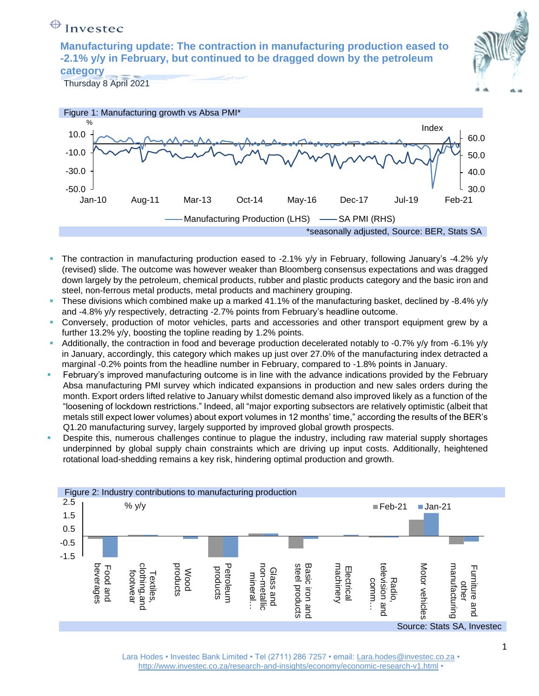# $\bigoplus$  Investec

**Manufacturing update: The contraction in manufacturing production eased to -2.1% y/y in February, but continued to be dragged down by the petroleum category**





- The contraction in manufacturing production eased to -2.1%  $y/y$  in February, following January's -4.2%  $y/y$ (revised) slide. The outcome was however weaker than Bloomberg consensus expectations and was dragged down largely by the petroleum, chemical products, rubber and plastic products category and the basic iron and steel, non-ferrous metal products, metal products and machinery grouping.
- These divisions which combined make up a marked 41.1% of the manufacturing basket, declined by -8.4% y/y and -4.8% y/y respectively, detracting -2.7% points from February's headline outcome.
- Conversely, production of motor vehicles, parts and accessories and other transport equipment grew by a further 13.2% y/y, boosting the topline reading by 1.2% points.
- Additionally, the contraction in food and beverage production decelerated notably to -0.7% y/y from -6.1% y/y in January, accordingly, this category which makes up just over 27.0% of the manufacturing index detracted a marginal -0.2% points from the headline number in February, compared to -1.8% points in January.
- February's improved manufacturing outcome is in line with the advance indications provided by the February Absa manufacturing PMI survey which indicated expansions in production and new sales orders during the month. Export orders lifted relative to January whilst domestic demand also improved likely as a function of the "loosening of lockdown restrictions." Indeed, all "major exporting subsectors are relatively optimistic (albeit that metals still expect lower volumes) about export volumes in 12 months' time," according the results of the BER's Q1.20 manufacturing survey, largely supported by improved global growth prospects.
- Despite this, numerous challenges continue to plague the industry, including raw material supply shortages underpinned by global supply chain constraints which are driving up input costs. Additionally, heightened rotational load-shedding remains a key risk, hindering optimal production and growth.



Lara Hodes • Investec Bank Limited • Tel (2711) 286 7257 • email: [Lara.hodes@investec.co.za](mailto:Lara.hodes@investec.co.za) • <http://www.investec.co.za/research-and-insights/economy/economic-research-v1.html> •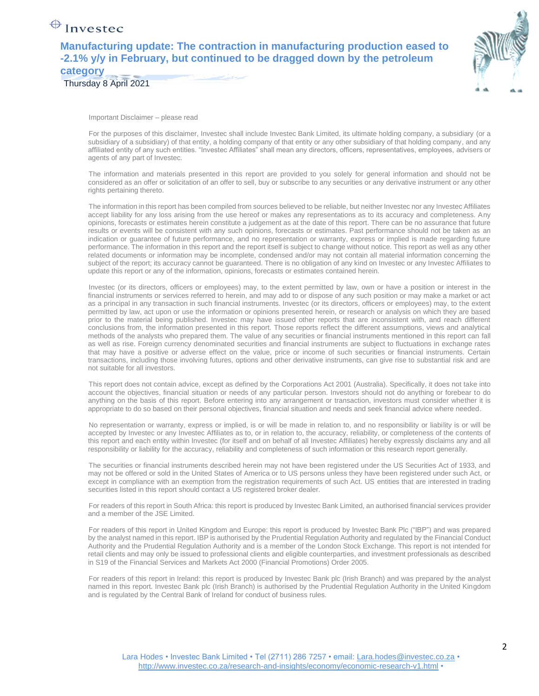### $\bigoplus$  Investec

**Manufacturing update: The contraction in manufacturing production eased to -2.1% y/y in February, but continued to be dragged down by the petroleum category**

Thursday 8 April 2021



Important Disclaimer – please read

For the purposes of this disclaimer, Investec shall include Investec Bank Limited, its ultimate holding company, a subsidiary (or a subsidiary of a subsidiary) of that entity, a holding company of that entity or any other subsidiary of that holding company, and any affiliated entity of any such entities. "Investec Affiliates" shall mean any directors, officers, representatives, employees, advisers or agents of any part of Investec.

The information and materials presented in this report are provided to you solely for general information and should not be considered as an offer or solicitation of an offer to sell, buy or subscribe to any securities or any derivative instrument or any other rights pertaining thereto.

The information in this report has been compiled from sources believed to be reliable, but neither Investec nor any Investec Affiliates accept liability for any loss arising from the use hereof or makes any representations as to its accuracy and completeness. Any opinions, forecasts or estimates herein constitute a judgement as at the date of this report. There can be no assurance that future results or events will be consistent with any such opinions, forecasts or estimates. Past performance should not be taken as an indication or guarantee of future performance, and no representation or warranty, express or implied is made regarding future performance. The information in this report and the report itself is subject to change without notice. This report as well as any other related documents or information may be incomplete, condensed and/or may not contain all material information concerning the subject of the report; its accuracy cannot be guaranteed. There is no obligation of any kind on Investec or any Investec Affiliates to update this report or any of the information, opinions, forecasts or estimates contained herein.

Investec (or its directors, officers or employees) may, to the extent permitted by law, own or have a position or interest in the financial instruments or services referred to herein, and may add to or dispose of any such position or may make a market or act as a principal in any transaction in such financial instruments. Investec (or its directors, officers or employees) may, to the extent permitted by law, act upon or use the information or opinions presented herein, or research or analysis on which they are based prior to the material being published. Investec may have issued other reports that are inconsistent with, and reach different conclusions from, the information presented in this report. Those reports reflect the different assumptions, views and analytical methods of the analysts who prepared them. The value of any securities or financial instruments mentioned in this report can fall as well as rise. Foreign currency denominated securities and financial instruments are subject to fluctuations in exchange rates that may have a positive or adverse effect on the value, price or income of such securities or financial instruments. Certain transactions, including those involving futures, options and other derivative instruments, can give rise to substantial risk and are not suitable for all investors.

This report does not contain advice, except as defined by the Corporations Act 2001 (Australia). Specifically, it does not take into account the objectives, financial situation or needs of any particular person. Investors should not do anything or forebear to do anything on the basis of this report. Before entering into any arrangement or transaction, investors must consider whether it is appropriate to do so based on their personal objectives, financial situation and needs and seek financial advice where needed.

No representation or warranty, express or implied, is or will be made in relation to, and no responsibility or liability is or will be accepted by Investec or any Investec Affiliates as to, or in relation to, the accuracy, reliability, or completeness of the contents of this report and each entity within Investec (for itself and on behalf of all Investec Affiliates) hereby expressly disclaims any and all responsibility or liability for the accuracy, reliability and completeness of such information or this research report generally.

The securities or financial instruments described herein may not have been registered under the US Securities Act of 1933, and may not be offered or sold in the United States of America or to US persons unless they have been registered under such Act, or except in compliance with an exemption from the registration requirements of such Act. US entities that are interested in trading securities listed in this report should contact a US registered broker dealer.

For readers of this report in South Africa: this report is produced by Investec Bank Limited, an authorised financial services provider and a member of the JSE Limited.

For readers of this report in United Kingdom and Europe: this report is produced by Investec Bank Plc ("IBP") and was prepared by the analyst named in this report. IBP is authorised by the Prudential Regulation Authority and regulated by the Financial Conduct Authority and the Prudential Regulation Authority and is a member of the London Stock Exchange. This report is not intended for retail clients and may only be issued to professional clients and eligible counterparties, and investment professionals as described in S19 of the Financial Services and Markets Act 2000 (Financial Promotions) Order 2005.

For readers of this report in Ireland: this report is produced by Investec Bank plc (Irish Branch) and was prepared by the analyst named in this report. Investec Bank plc (Irish Branch) is authorised by the Prudential Regulation Authority in the United Kingdom and is regulated by the Central Bank of Ireland for conduct of business rules.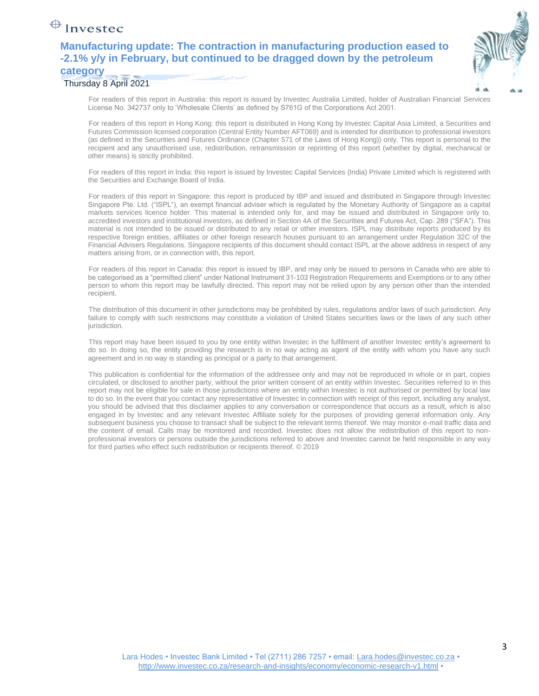## $\bigoplus$  Investec

### **Manufacturing update: The contraction in manufacturing production eased to -2.1% y/y in February, but continued to be dragged down by the petroleum category**

#### Thursday 8 April 2021

For readers of this report in Australia: this report is issued by Investec Australia Limited, holder of Australian Financial Services License No. 342737 only to 'Wholesale Clients' as defined by S761G of the Corporations Act 2001.

For readers of this report in Hong Kong: this report is distributed in Hong Kong by Investec Capital Asia Limited, a Securities and Futures Commission licensed corporation (Central Entity Number AFT069) and is intended for distribution to professional investors (as defined in the Securities and Futures Ordinance (Chapter 571 of the Laws of Hong Kong)) only. This report is personal to the recipient and any unauthorised use, redistribution, retransmission or reprinting of this report (whether by digital, mechanical or other means) is strictly prohibited.

For readers of this report in India: this report is issued by Investec Capital Services (India) Private Limited which is registered with the Securities and Exchange Board of India.

For readers of this report in Singapore: this report is produced by IBP and issued and distributed in Singapore through Investec Singapore Pte. Ltd. ("ISPL"), an exempt financial adviser which is regulated by the Monetary Authority of Singapore as a capital markets services licence holder. This material is intended only for, and may be issued and distributed in Singapore only to, accredited investors and institutional investors, as defined in Section 4A of the Securities and Futures Act, Cap. 289 ("SFA"). This material is not intended to be issued or distributed to any retail or other investors. ISPL may distribute reports produced by its respective foreign entities, affiliates or other foreign research houses pursuant to an arrangement under Regulation 32C of the Financial Advisers Regulations. Singapore recipients of this document should contact ISPL at the above address in respect of any matters arising from, or in connection with, this report.

For readers of this report in Canada: this report is issued by IBP, and may only be issued to persons in Canada who are able to be categorised as a "permitted client" under National Instrument 31-103 Registration Requirements and Exemptions or to any other person to whom this report may be lawfully directed. This report may not be relied upon by any person other than the intended recipient.

The distribution of this document in other jurisdictions may be prohibited by rules, regulations and/or laws of such jurisdiction. Any failure to comply with such restrictions may constitute a violation of United States securities laws or the laws of any such other jurisdiction.

This report may have been issued to you by one entity within Investec in the fulfilment of another Investec entity's agreement to do so. In doing so, the entity providing the research is in no way acting as agent of the entity with whom you have any such agreement and in no way is standing as principal or a party to that arrangement.

This publication is confidential for the information of the addressee only and may not be reproduced in whole or in part, copies circulated, or disclosed to another party, without the prior written consent of an entity within Investec. Securities referred to in this report may not be eligible for sale in those jurisdictions where an entity within Investec is not authorised or permitted by local law to do so. In the event that you contact any representative of Investec in connection with receipt of this report, including any analyst, you should be advised that this disclaimer applies to any conversation or correspondence that occurs as a result, which is also engaged in by Investec and any relevant Investec Affiliate solely for the purposes of providing general information only. Any subsequent business you choose to transact shall be subject to the relevant terms thereof. We may monitor e-mail traffic data and the content of email. Calls may be monitored and recorded. Investec does not allow the redistribution of this report to nonprofessional investors or persons outside the jurisdictions referred to above and Investec cannot be held responsible in any way for third parties who effect such redistribution or recipients thereof. © 2019